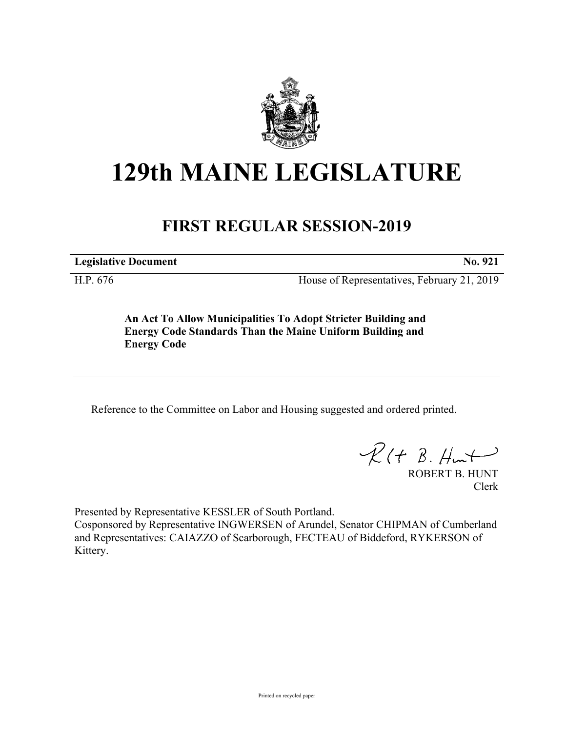

## **129th MAINE LEGISLATURE**

## **FIRST REGULAR SESSION-2019**

**Legislative Document No. 921**

H.P. 676 House of Representatives, February 21, 2019

**An Act To Allow Municipalities To Adopt Stricter Building and Energy Code Standards Than the Maine Uniform Building and Energy Code**

Reference to the Committee on Labor and Housing suggested and ordered printed.

 $\mathcal{R}(t \; \mathcal{B}, \#m)$ 

ROBERT B. HUNT Clerk

Presented by Representative KESSLER of South Portland. Cosponsored by Representative INGWERSEN of Arundel, Senator CHIPMAN of Cumberland and Representatives: CAIAZZO of Scarborough, FECTEAU of Biddeford, RYKERSON of Kittery.